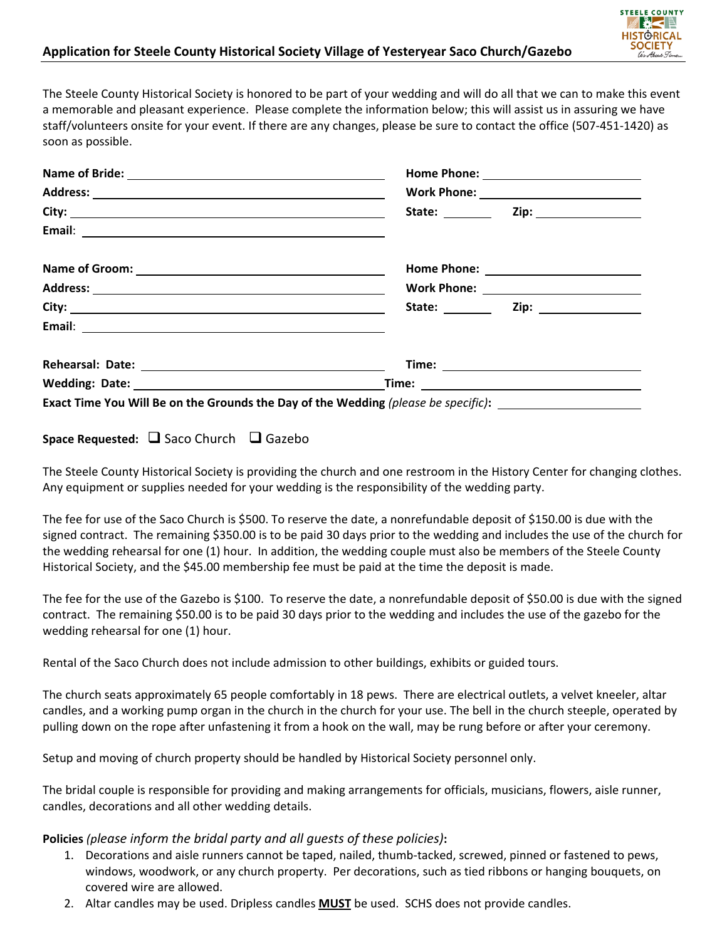## **Application for Steele County Historical Society Village of Yesteryear Saco Church/Gazebo**



The Steele County Historical Society is honored to be part of your wedding and will do all that we can to make this event a memorable and pleasant experience. Please complete the information below; this will assist us in assuring we have staff/volunteers onsite for your event. If there are any changes, please be sure to contact the office (507‐451‐1420) as soon as possible.

| Name of Groom: <u>and a series of Groom</u> |                                                                                                      |
|---------------------------------------------|------------------------------------------------------------------------------------------------------|
|                                             |                                                                                                      |
|                                             |                                                                                                      |
|                                             |                                                                                                      |
|                                             | Time: <u>www.community.community.community.com</u>                                                   |
|                                             |                                                                                                      |
|                                             | Exact Time You Will Be on the Grounds the Day of the Wedding (please be specific): _________________ |

## **Space Requested:**  Saco Church Gazebo

The Steele County Historical Society is providing the church and one restroom in the History Center for changing clothes. Any equipment or supplies needed for your wedding is the responsibility of the wedding party.

The fee for use of the Saco Church is \$500. To reserve the date, a nonrefundable deposit of \$150.00 is due with the signed contract. The remaining \$350.00 is to be paid 30 days prior to the wedding and includes the use of the church for the wedding rehearsal for one (1) hour. In addition, the wedding couple must also be members of the Steele County Historical Society, and the \$45.00 membership fee must be paid at the time the deposit is made.

The fee for the use of the Gazebo is \$100. To reserve the date, a nonrefundable deposit of \$50.00 is due with the signed contract. The remaining \$50.00 is to be paid 30 days prior to the wedding and includes the use of the gazebo for the wedding rehearsal for one (1) hour.

Rental of the Saco Church does not include admission to other buildings, exhibits or guided tours.

The church seats approximately 65 people comfortably in 18 pews. There are electrical outlets, a velvet kneeler, altar candles, and a working pump organ in the church in the church for your use. The bell in the church steeple, operated by pulling down on the rope after unfastening it from a hook on the wall, may be rung before or after your ceremony.

Setup and moving of church property should be handled by Historical Society personnel only.

The bridal couple is responsible for providing and making arrangements for officials, musicians, flowers, aisle runner, candles, decorations and all other wedding details.

## **Policies** *(please inform the bridal party and all guests of these policies)***:**

- 1. Decorations and aisle runners cannot be taped, nailed, thumb‐tacked, screwed, pinned or fastened to pews, windows, woodwork, or any church property. Per decorations, such as tied ribbons or hanging bouquets, on covered wire are allowed.
- 2. Altar candles may be used. Dripless candles **MUST** be used. SCHS does not provide candles.